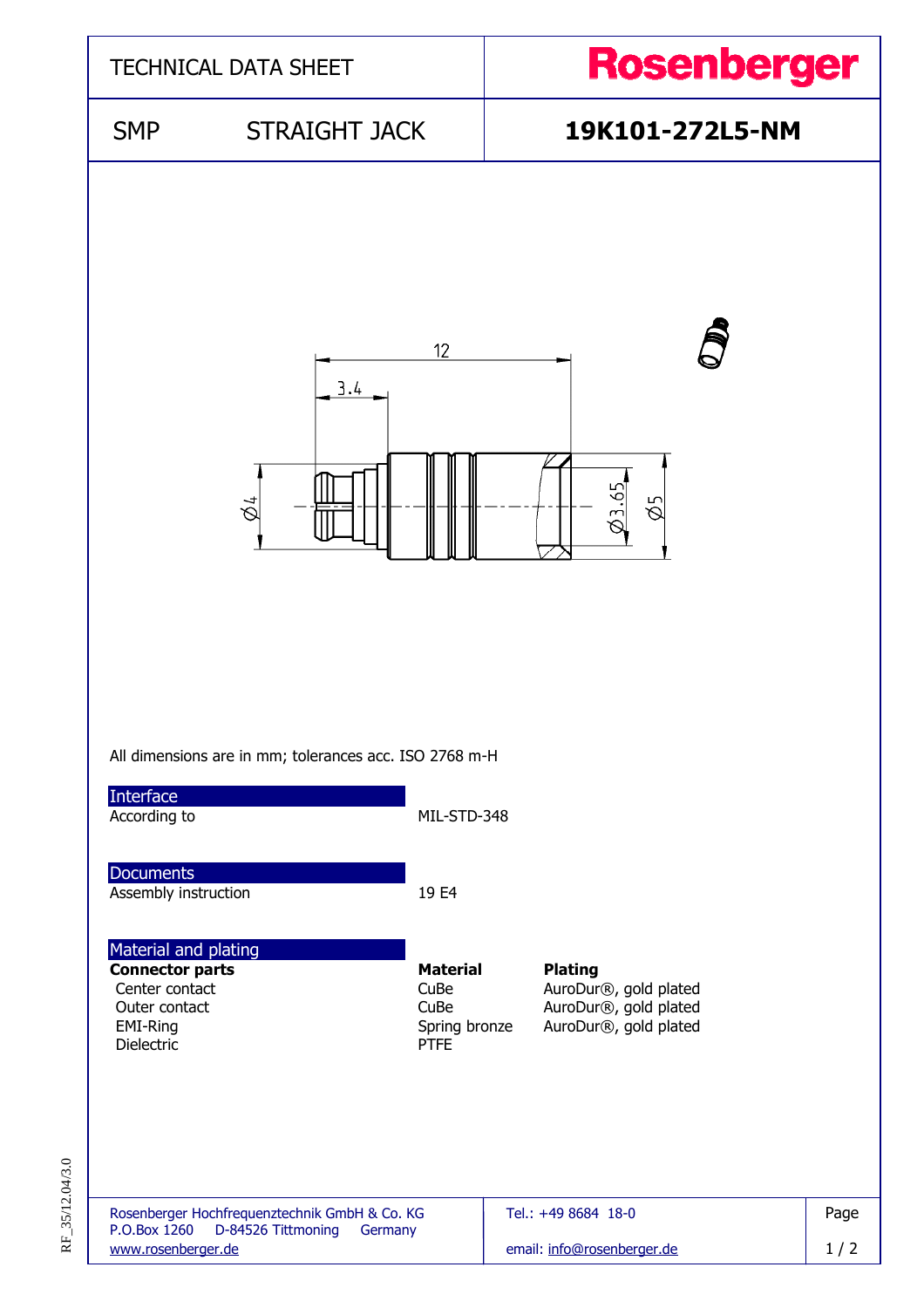

RF\_35/12.04/3.0 RF\_35/12.04/3.0